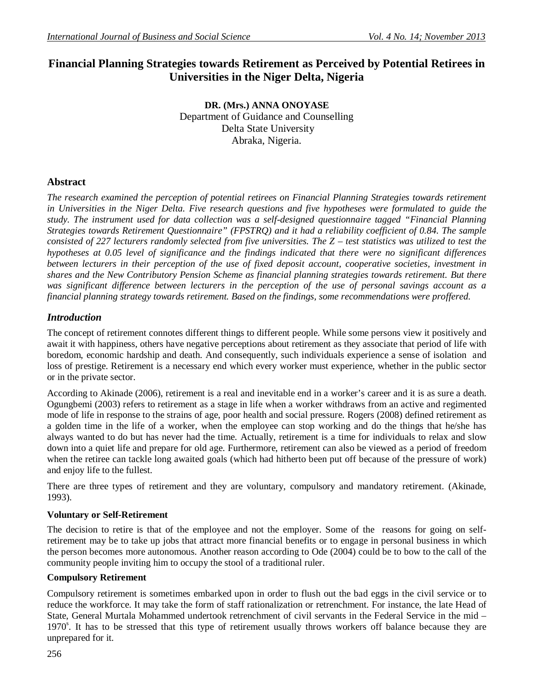# **Financial Planning Strategies towards Retirement as Perceived by Potential Retirees in Universities in the Niger Delta, Nigeria**

**DR. (Mrs.) ANNA ONOYASE** Department of Guidance and Counselling Delta State University Abraka, Nigeria.

## **Abstract**

*The research examined the perception of potential retirees on Financial Planning Strategies towards retirement in Universities in the Niger Delta. Five research questions and five hypotheses were formulated to guide the study. The instrument used for data collection was a self-designed questionnaire tagged "Financial Planning Strategies towards Retirement Questionnaire" (FPSTRQ) and it had a reliability coefficient of 0.84. The sample consisted of 227 lecturers randomly selected from five universities. The Z – test statistics was utilized to test the hypotheses at 0.05 level of significance and the findings indicated that there were no significant differences between lecturers in their perception of the use of fixed deposit account, cooperative societies, investment in shares and the New Contributory Pension Scheme as financial planning strategies towards retirement. But there was significant difference between lecturers in the perception of the use of personal savings account as a financial planning strategy towards retirement. Based on the findings, some recommendations were proffered.* 

## *Introduction*

The concept of retirement connotes different things to different people. While some persons view it positively and await it with happiness, others have negative perceptions about retirement as they associate that period of life with boredom, economic hardship and death. And consequently, such individuals experience a sense of isolation and loss of prestige. Retirement is a necessary end which every worker must experience, whether in the public sector or in the private sector.

According to Akinade (2006), retirement is a real and inevitable end in a worker's career and it is as sure a death. Ogungbemi (2003) refers to retirement as a stage in life when a worker withdraws from an active and regimented mode of life in response to the strains of age, poor health and social pressure. Rogers (2008) defined retirement as a golden time in the life of a worker, when the employee can stop working and do the things that he/she has always wanted to do but has never had the time. Actually, retirement is a time for individuals to relax and slow down into a quiet life and prepare for old age. Furthermore, retirement can also be viewed as a period of freedom when the retiree can tackle long awaited goals (which had hitherto been put off because of the pressure of work) and enjoy life to the fullest.

There are three types of retirement and they are voluntary, compulsory and mandatory retirement. (Akinade, 1993).

## **Voluntary or Self-Retirement**

The decision to retire is that of the employee and not the employer. Some of the reasons for going on selfretirement may be to take up jobs that attract more financial benefits or to engage in personal business in which the person becomes more autonomous. Another reason according to Ode (2004) could be to bow to the call of the community people inviting him to occupy the stool of a traditional ruler.

## **Compulsory Retirement**

Compulsory retirement is sometimes embarked upon in order to flush out the bad eggs in the civil service or to reduce the workforce. It may take the form of staff rationalization or retrenchment. For instance, the late Head of State, General Murtala Mohammed undertook retrenchment of civil servants in the Federal Service in the mid – 1970<sup>s</sup>. It has to be stressed that this type of retirement usually throws workers off balance because they are unprepared for it.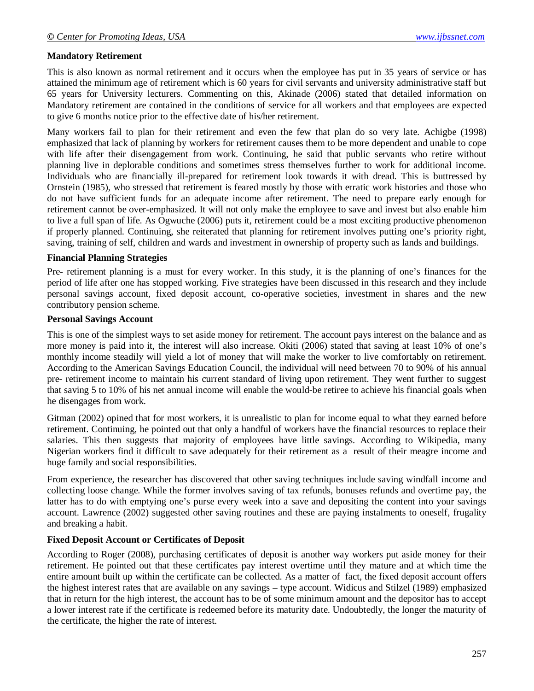#### **Mandatory Retirement**

This is also known as normal retirement and it occurs when the employee has put in 35 years of service or has attained the minimum age of retirement which is 60 years for civil servants and university administrative staff but 65 years for University lecturers. Commenting on this, Akinade (2006) stated that detailed information on Mandatory retirement are contained in the conditions of service for all workers and that employees are expected to give 6 months notice prior to the effective date of his/her retirement.

Many workers fail to plan for their retirement and even the few that plan do so very late. Achigbe (1998) emphasized that lack of planning by workers for retirement causes them to be more dependent and unable to cope with life after their disengagement from work. Continuing, he said that public servants who retire without planning live in deplorable conditions and sometimes stress themselves further to work for additional income. Individuals who are financially ill-prepared for retirement look towards it with dread. This is buttressed by Ornstein (1985), who stressed that retirement is feared mostly by those with erratic work histories and those who do not have sufficient funds for an adequate income after retirement. The need to prepare early enough for retirement cannot be over-emphasized. It will not only make the employee to save and invest but also enable him to live a full span of life. As Ogwuche (2006) puts it, retirement could be a most exciting productive phenomenon if properly planned. Continuing, she reiterated that planning for retirement involves putting one's priority right, saving, training of self, children and wards and investment in ownership of property such as lands and buildings.

#### **Financial Planning Strategies**

Pre- retirement planning is a must for every worker. In this study, it is the planning of one's finances for the period of life after one has stopped working. Five strategies have been discussed in this research and they include personal savings account, fixed deposit account, co-operative societies, investment in shares and the new contributory pension scheme.

#### **Personal Savings Account**

This is one of the simplest ways to set aside money for retirement. The account pays interest on the balance and as more money is paid into it, the interest will also increase. Okiti (2006) stated that saving at least 10% of one's monthly income steadily will yield a lot of money that will make the worker to live comfortably on retirement. According to the American Savings Education Council, the individual will need between 70 to 90% of his annual pre- retirement income to maintain his current standard of living upon retirement. They went further to suggest that saving 5 to 10% of his net annual income will enable the would-be retiree to achieve his financial goals when he disengages from work.

Gitman (2002) opined that for most workers, it is unrealistic to plan for income equal to what they earned before retirement. Continuing, he pointed out that only a handful of workers have the financial resources to replace their salaries. This then suggests that majority of employees have little savings. According to Wikipedia, many Nigerian workers find it difficult to save adequately for their retirement as a result of their meagre income and huge family and social responsibilities.

From experience, the researcher has discovered that other saving techniques include saving windfall income and collecting loose change. While the former involves saving of tax refunds, bonuses refunds and overtime pay, the latter has to do with emptying one's purse every week into a save and depositing the content into your savings account. Lawrence (2002) suggested other saving routines and these are paying instalments to oneself, frugality and breaking a habit.

#### **Fixed Deposit Account or Certificates of Deposit**

According to Roger (2008), purchasing certificates of deposit is another way workers put aside money for their retirement. He pointed out that these certificates pay interest overtime until they mature and at which time the entire amount built up within the certificate can be collected. As a matter of fact, the fixed deposit account offers the highest interest rates that are available on any savings – type account. Widicus and Stilzel (1989) emphasized that in return for the high interest, the account has to be of some minimum amount and the depositor has to accept a lower interest rate if the certificate is redeemed before its maturity date. Undoubtedly, the longer the maturity of the certificate, the higher the rate of interest.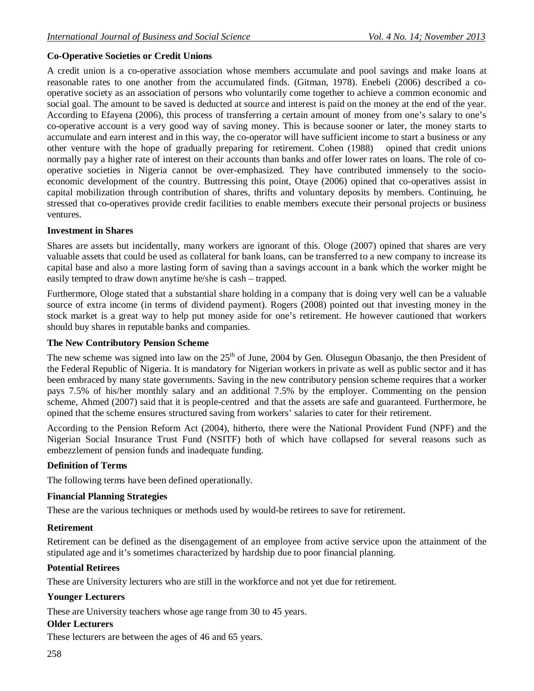### **Co-Operative Societies or Credit Unions**

A credit union is a co-operative association whose members accumulate and pool savings and make loans at reasonable rates to one another from the accumulated finds. (Gitman, 1978). Enebeli (2006) described a cooperative society as an association of persons who voluntarily come together to achieve a common economic and social goal. The amount to be saved is deducted at source and interest is paid on the money at the end of the year. According to Efayena (2006), this process of transferring a certain amount of money from one's salary to one's co-operative account is a very good way of saving money. This is because sooner or later, the money starts to accumulate and earn interest and in this way, the co-operator will have sufficient income to start a business or any other venture with the hope of gradually preparing for retirement. Cohen (1988) opined that credit unions normally pay a higher rate of interest on their accounts than banks and offer lower rates on loans. The role of cooperative societies in Nigeria cannot be over-emphasized. They have contributed immensely to the socioeconomic development of the country. Buttressing this point, Otaye (2006) opined that co-operatives assist in capital mobilization through contribution of shares, thrifts and voluntary deposits by members. Continuing, he stressed that co-operatives provide credit facilities to enable members execute their personal projects or business ventures.

### **Investment in Shares**

Shares are assets but incidentally, many workers are ignorant of this. Ologe (2007) opined that shares are very valuable assets that could be used as collateral for bank loans, can be transferred to a new company to increase its capital base and also a more lasting form of saving than a savings account in a bank which the worker might be easily tempted to draw down anytime he/she is cash – trapped.

Furthermore, Ologe stated that a substantial share holding in a company that is doing very well can be a valuable source of extra income (in terms of dividend payment). Rogers (2008) pointed out that investing money in the stock market is a great way to help put money aside for one's retirement. He however cautioned that workers should buy shares in reputable banks and companies.

### **The New Contributory Pension Scheme**

The new scheme was signed into law on the 25<sup>th</sup> of June, 2004 by Gen. Olusegun Obasanjo, the then President of the Federal Republic of Nigeria. It is mandatory for Nigerian workers in private as well as public sector and it has been embraced by many state governments. Saving in the new contributory pension scheme requires that a worker pays 7.5% of his/her monthly salary and an additional 7.5% by the employer. Commenting on the pension scheme, Ahmed (2007) said that it is people-centred and that the assets are safe and guaranteed. Furthermore, he opined that the scheme ensures structured saving from workers' salaries to cater for their retirement.

According to the Pension Reform Act (2004), hitherto, there were the National Provident Fund (NPF) and the Nigerian Social Insurance Trust Fund (NSITF) both of which have collapsed for several reasons such as embezzlement of pension funds and inadequate funding.

### **Definition of Terms**

The following terms have been defined operationally.

#### **Financial Planning Strategies**

These are the various techniques or methods used by would-be retirees to save for retirement.

#### **Retirement**

Retirement can be defined as the disengagement of an employee from active service upon the attainment of the stipulated age and it's sometimes characterized by hardship due to poor financial planning.

### **Potential Retirees**

These are University lecturers who are still in the workforce and not yet due for retirement.

### **Younger Lecturers**

These are University teachers whose age range from 30 to 45 years.

### **Older Lecturers**

These lecturers are between the ages of 46 and 65 years.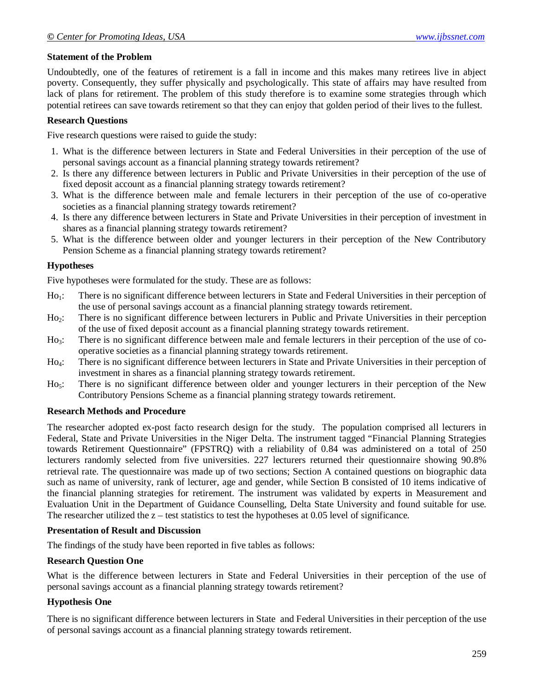### **Statement of the Problem**

Undoubtedly, one of the features of retirement is a fall in income and this makes many retirees live in abject poverty. Consequently, they suffer physically and psychologically. This state of affairs may have resulted from lack of plans for retirement. The problem of this study therefore is to examine some strategies through which potential retirees can save towards retirement so that they can enjoy that golden period of their lives to the fullest.

#### **Research Questions**

Five research questions were raised to guide the study:

- 1. What is the difference between lecturers in State and Federal Universities in their perception of the use of personal savings account as a financial planning strategy towards retirement?
- 2. Is there any difference between lecturers in Public and Private Universities in their perception of the use of fixed deposit account as a financial planning strategy towards retirement?
- 3. What is the difference between male and female lecturers in their perception of the use of co-operative societies as a financial planning strategy towards retirement?
- 4. Is there any difference between lecturers in State and Private Universities in their perception of investment in shares as a financial planning strategy towards retirement?
- 5. What is the difference between older and younger lecturers in their perception of the New Contributory Pension Scheme as a financial planning strategy towards retirement?

### **Hypotheses**

Five hypotheses were formulated for the study. These are as follows:

- Ho<sub>1</sub>: There is no significant difference between lecturers in State and Federal Universities in their perception of the use of personal savings account as a financial planning strategy towards retirement.
- Ho2: There is no significant difference between lecturers in Public and Private Universities in their perception of the use of fixed deposit account as a financial planning strategy towards retirement.
- Ho<sub>3</sub>: There is no significant difference between male and female lecturers in their perception of the use of cooperative societies as a financial planning strategy towards retirement.
- Ho4: There is no significant difference between lecturers in State and Private Universities in their perception of investment in shares as a financial planning strategy towards retirement.
- Ho<sub>5</sub>: There is no significant difference between older and younger lecturers in their perception of the New Contributory Pensions Scheme as a financial planning strategy towards retirement.

#### **Research Methods and Procedure**

The researcher adopted ex-post facto research design for the study. The population comprised all lecturers in Federal, State and Private Universities in the Niger Delta. The instrument tagged "Financial Planning Strategies towards Retirement Questionnaire" (FPSTRQ) with a reliability of 0.84 was administered on a total of 250 lecturers randomly selected from five universities. 227 lecturers returned their questionnaire showing 90.8% retrieval rate. The questionnaire was made up of two sections; Section A contained questions on biographic data such as name of university, rank of lecturer, age and gender, while Section B consisted of 10 items indicative of the financial planning strategies for retirement. The instrument was validated by experts in Measurement and Evaluation Unit in the Department of Guidance Counselling, Delta State University and found suitable for use. The researcher utilized the  $z$  – test statistics to test the hypotheses at 0.05 level of significance.

#### **Presentation of Result and Discussion**

The findings of the study have been reported in five tables as follows:

#### **Research Question One**

What is the difference between lecturers in State and Federal Universities in their perception of the use of personal savings account as a financial planning strategy towards retirement?

#### **Hypothesis One**

There is no significant difference between lecturers in State and Federal Universities in their perception of the use of personal savings account as a financial planning strategy towards retirement.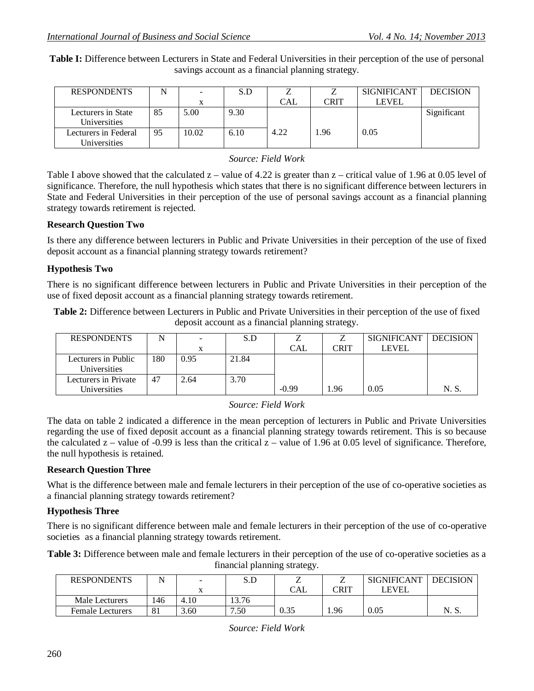**Table I:** Difference between Lecturers in State and Federal Universities in their perception of the use of personal savings account as a financial planning strategy.

| <b>RESPONDENTS</b>                 |    |       | S.D  |      |      | <b>SIGNIFICANT</b> | <b>DECISION</b> |
|------------------------------------|----|-------|------|------|------|--------------------|-----------------|
|                                    |    |       |      | CAL  | CRIT | LEVEL              |                 |
| Lecturers in State<br>Universities | 85 | 5.00  | 9.30 |      |      |                    | Significant     |
| Lecturers in Federal               | 95 | 10.02 | 6.10 | 4.22 | .96  | 0.05               |                 |
| Universities                       |    |       |      |      |      |                    |                 |

*Source: Field Work*

Table I above showed that the calculated  $z -$  value of 4.22 is greater than  $z -$  critical value of 1.96 at 0.05 level of significance. Therefore, the null hypothesis which states that there is no significant difference between lecturers in State and Federal Universities in their perception of the use of personal savings account as a financial planning strategy towards retirement is rejected.

### **Research Question Two**

Is there any difference between lecturers in Public and Private Universities in their perception of the use of fixed deposit account as a financial planning strategy towards retirement?

### **Hypothesis Two**

There is no significant difference between lecturers in Public and Private Universities in their perception of the use of fixed deposit account as a financial planning strategy towards retirement.

**Table 2:** Difference between Lecturers in Public and Private Universities in their perception of the use of fixed deposit account as a financial planning strategy.

| <b>RESPONDENTS</b>                   |     | $\overline{\phantom{0}}$ | S.D   |         |      | <b>SIGNIFICANT</b> | <b>DECISION</b> |
|--------------------------------------|-----|--------------------------|-------|---------|------|--------------------|-----------------|
|                                      |     |                          |       | CAL     | CRIT | <b>LEVEL</b>       |                 |
| Lecturers in Public<br>Universities  | 180 | 0.95                     | 21.84 |         |      |                    |                 |
| Lecturers in Private<br>Universities | 47  | 2.64                     | 3.70  | $-0.99$ | .96  | 0.05               | N. S.           |

*Source: Field Work*

The data on table 2 indicated a difference in the mean perception of lecturers in Public and Private Universities regarding the use of fixed deposit account as a financial planning strategy towards retirement. This is so because the calculated  $z$  – value of -0.99 is less than the critical  $\overline{z}$  – value of 1.96 at 0.05 level of significance. Therefore, the null hypothesis is retained.

### **Research Question Three**

What is the difference between male and female lecturers in their perception of the use of co-operative societies as a financial planning strategy towards retirement?

### **Hypothesis Three**

There is no significant difference between male and female lecturers in their perception of the use of co-operative societies as a financial planning strategy towards retirement.

**Table 3:** Difference between male and female lecturers in their perception of the use of co-operative societies as a financial planning strategy.

| <b>RESPONDENTS</b>      |     | $\blacksquare$ | S.D   |      |      | <b>SIGNIFICANT</b> | <b>DECISION</b> |
|-------------------------|-----|----------------|-------|------|------|--------------------|-----------------|
|                         |     |                |       | CAL  | CRIT | LEVEL              |                 |
| Male Lecturers          | 46ء | 4.10           | 13.76 |      |      |                    |                 |
| <b>Female Lecturers</b> | 81  | 3.60           | 7.50  | 0.35 | 1.96 | 0.05               | N. S.           |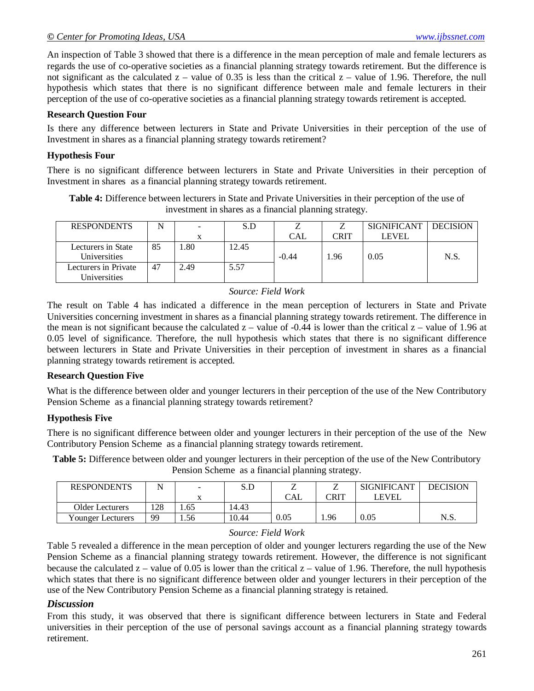An inspection of Table 3 showed that there is a difference in the mean perception of male and female lecturers as regards the use of co-operative societies as a financial planning strategy towards retirement. But the difference is not significant as the calculated  $z$  – value of 0.35 is less than the critical  $z$  – value of 1.96. Therefore, the null hypothesis which states that there is no significant difference between male and female lecturers in their perception of the use of co-operative societies as a financial planning strategy towards retirement is accepted.

#### **Research Question Four**

Is there any difference between lecturers in State and Private Universities in their perception of the use of Investment in shares as a financial planning strategy towards retirement?

#### **Hypothesis Four**

There is no significant difference between lecturers in State and Private Universities in their perception of Investment in shares as a financial planning strategy towards retirement.

**Table 4:** Difference between lecturers in State and Private Universities in their perception of the use of investment in shares as a financial planning strategy.

| <b>RESPONDENTS</b>                   | N  | $\sim$ | S.D   |            |      | <b>SIGNIFICANT</b> | <b>DECISION</b> |
|--------------------------------------|----|--------|-------|------------|------|--------------------|-----------------|
|                                      |    |        |       | <b>CAL</b> | CRIT | <b>LEVEL</b>       |                 |
| Lecturers in State<br>Universities   | 85 | .80    | 12.45 | $-0.44$    | .96  | 0.05               | N.S             |
| Lecturers in Private<br>Universities | 47 | 2.49   | 5.57  |            |      |                    |                 |

#### *Source: Field Work*

The result on Table 4 has indicated a difference in the mean perception of lecturers in State and Private Universities concerning investment in shares as a financial planning strategy towards retirement. The difference in the mean is not significant because the calculated  $z -$  value of -0.44 is lower than the critical  $z -$  value of 1.96 at 0.05 level of significance. Therefore, the null hypothesis which states that there is no significant difference between lecturers in State and Private Universities in their perception of investment in shares as a financial planning strategy towards retirement is accepted.

#### **Research Question Five**

What is the difference between older and younger lecturers in their perception of the use of the New Contributory Pension Scheme as a financial planning strategy towards retirement?

#### **Hypothesis Five**

There is no significant difference between older and younger lecturers in their perception of the use of the New Contributory Pension Scheme as a financial planning strategy towards retirement.

**Table 5:** Difference between older and younger lecturers in their perception of the use of the New Contributory Pension Scheme as a financial planning strategy.

| <b>RESPONDENTS</b> |     | -    | S.D   | ॒    |      | <b>SIGNIFICANT</b> | DECISION |
|--------------------|-----|------|-------|------|------|--------------------|----------|
|                    |     |      |       | CAL  | CRIT | ' EVEL             |          |
| Older Lecturers    | 128 | 1.65 | 14.43 |      |      |                    |          |
| Younger Lecturers  | 99  | . 56 | 10.44 | 0.05 | 1.96 | 0.05               | N.S.     |

#### *Source: Field Work*

Table 5 revealed a difference in the mean perception of older and younger lecturers regarding the use of the New Pension Scheme as a financial planning strategy towards retirement. However, the difference is not significant because the calculated  $z -$  value of 0.05 is lower than the critical  $z -$  value of 1.96. Therefore, the null hypothesis which states that there is no significant difference between older and younger lecturers in their perception of the use of the New Contributory Pension Scheme as a financial planning strategy is retained.

#### *Discussion*

From this study, it was observed that there is significant difference between lecturers in State and Federal universities in their perception of the use of personal savings account as a financial planning strategy towards retirement.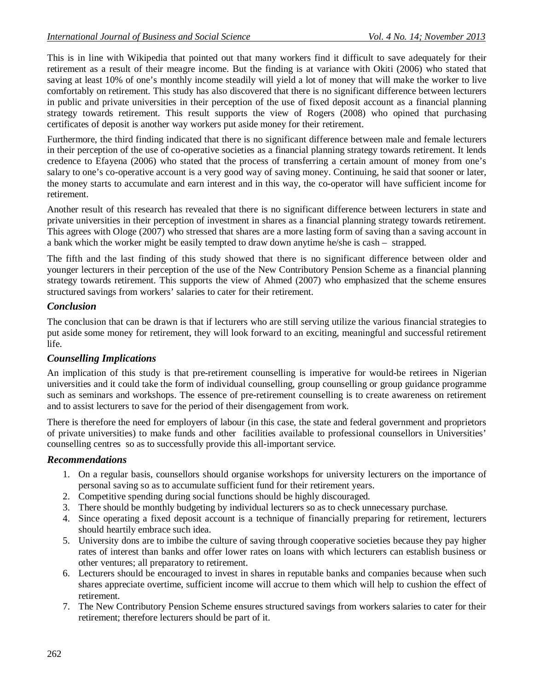This is in line with Wikipedia that pointed out that many workers find it difficult to save adequately for their retirement as a result of their meagre income. But the finding is at variance with Okiti (2006) who stated that saving at least 10% of one's monthly income steadily will yield a lot of money that will make the worker to live comfortably on retirement. This study has also discovered that there is no significant difference between lecturers in public and private universities in their perception of the use of fixed deposit account as a financial planning strategy towards retirement. This result supports the view of Rogers (2008) who opined that purchasing certificates of deposit is another way workers put aside money for their retirement.

Furthermore, the third finding indicated that there is no significant difference between male and female lecturers in their perception of the use of co-operative societies as a financial planning strategy towards retirement. It lends credence to Efayena (2006) who stated that the process of transferring a certain amount of money from one's salary to one's co-operative account is a very good way of saving money. Continuing, he said that sooner or later, the money starts to accumulate and earn interest and in this way, the co-operator will have sufficient income for retirement.

Another result of this research has revealed that there is no significant difference between lecturers in state and private universities in their perception of investment in shares as a financial planning strategy towards retirement. This agrees with Ologe (2007) who stressed that shares are a more lasting form of saving than a saving account in a bank which the worker might be easily tempted to draw down anytime he/she is cash – strapped.

The fifth and the last finding of this study showed that there is no significant difference between older and younger lecturers in their perception of the use of the New Contributory Pension Scheme as a financial planning strategy towards retirement. This supports the view of Ahmed (2007) who emphasized that the scheme ensures structured savings from workers' salaries to cater for their retirement.

## *Conclusion*

The conclusion that can be drawn is that if lecturers who are still serving utilize the various financial strategies to put aside some money for retirement, they will look forward to an exciting, meaningful and successful retirement life.

## *Counselling Implications*

An implication of this study is that pre-retirement counselling is imperative for would-be retirees in Nigerian universities and it could take the form of individual counselling, group counselling or group guidance programme such as seminars and workshops. The essence of pre-retirement counselling is to create awareness on retirement and to assist lecturers to save for the period of their disengagement from work.

There is therefore the need for employers of labour (in this case, the state and federal government and proprietors of private universities) to make funds and other facilities available to professional counsellors in Universities' counselling centres so as to successfully provide this all-important service.

## *Recommendations*

- 1. On a regular basis, counsellors should organise workshops for university lecturers on the importance of personal saving so as to accumulate sufficient fund for their retirement years.
- 2. Competitive spending during social functions should be highly discouraged.
- 3. There should be monthly budgeting by individual lecturers so as to check unnecessary purchase.
- 4. Since operating a fixed deposit account is a technique of financially preparing for retirement, lecturers should heartily embrace such idea.
- 5. University dons are to imbibe the culture of saving through cooperative societies because they pay higher rates of interest than banks and offer lower rates on loans with which lecturers can establish business or other ventures; all preparatory to retirement.
- 6. Lecturers should be encouraged to invest in shares in reputable banks and companies because when such shares appreciate overtime, sufficient income will accrue to them which will help to cushion the effect of retirement.
- 7. The New Contributory Pension Scheme ensures structured savings from workers salaries to cater for their retirement; therefore lecturers should be part of it.